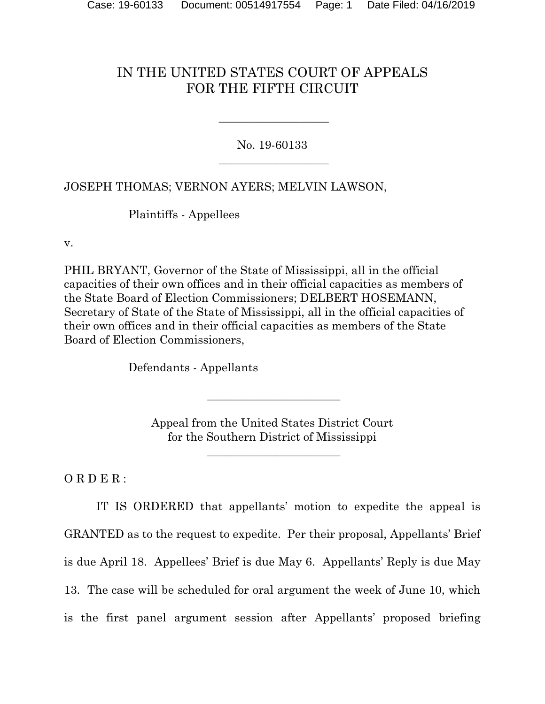## IN THE UNITED STATES COURT OF APPEALS FOR THE FIFTH CIRCUIT

No. 19-60133  $\overline{\phantom{a}}$  , where  $\overline{\phantom{a}}$  , where  $\overline{\phantom{a}}$  , where  $\overline{\phantom{a}}$  , where  $\overline{\phantom{a}}$ 

\_\_\_\_\_\_\_\_\_\_\_\_\_\_\_\_\_\_\_

JOSEPH THOMAS; VERNON AYERS; MELVIN LAWSON,

Plaintiffs - Appellees

v.

PHIL BRYANT, Governor of the State of Mississippi, all in the official capacities of their own offices and in their official capacities as members of the State Board of Election Commissioners; DELBERT HOSEMANN, Secretary of State of the State of Mississippi, all in the official capacities of their own offices and in their official capacities as members of the State Board of Election Commissioners,

Defendants - Appellants

Appeal from the United States District Court for the Southern District of Mississippi

\_\_\_\_\_\_\_\_\_\_\_\_\_\_\_\_\_\_\_\_\_\_\_

\_\_\_\_\_\_\_\_\_\_\_\_\_\_\_\_\_\_\_\_\_\_\_

ORDER:

IT IS ORDERED that appellants' motion to expedite the appeal is GRANTED as to the request to expedite. Per their proposal, Appellants' Brief is due April 18. Appellees' Brief is due May 6. Appellants' Reply is due May 13. The case will be scheduled for oral argument the week of June 10, which is the first panel argument session after Appellants' proposed briefing